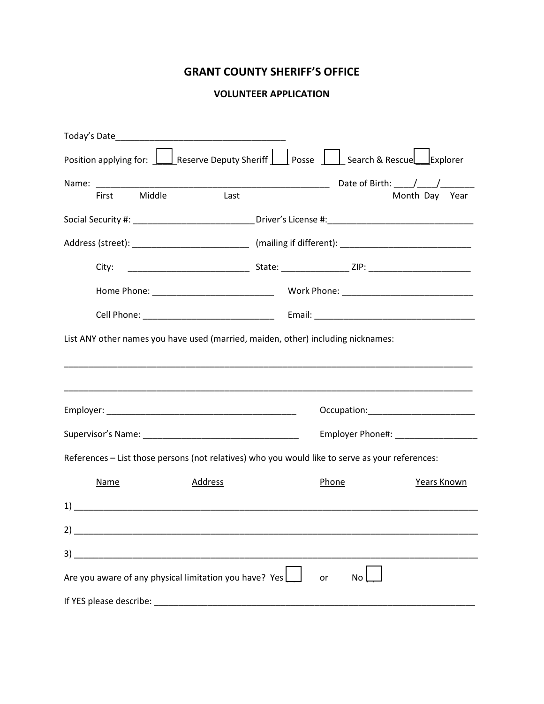## **GRANT COUNTY SHERIFF'S OFFICE**

## **VOLUNTEER APPLICATION**

| Position applying for: $\Box$ Reserve Deputy Sheriff $\Box$ Posse $\Box$ Search & Rescue $\Box$ Explorer |                                                                                                                       |         |  |                                                                                                                |                                                                                                      |  |  |
|----------------------------------------------------------------------------------------------------------|-----------------------------------------------------------------------------------------------------------------------|---------|--|----------------------------------------------------------------------------------------------------------------|------------------------------------------------------------------------------------------------------|--|--|
| Name: _________                                                                                          | <u> 1989 - Johann Barn, mars ann an t-Amhain an t-Amhain an t-Amhain an t-Amhain an t-Amhain an t-Amhain an t-Amh</u> |         |  |                                                                                                                | Date of Birth: $\frac{\sqrt{2}}{2}$                                                                  |  |  |
| First                                                                                                    | Middle                                                                                                                | Last    |  |                                                                                                                | Month Day Year                                                                                       |  |  |
|                                                                                                          |                                                                                                                       |         |  |                                                                                                                | Social Security #: _______________________________Driver's License #: ______________________________ |  |  |
|                                                                                                          |                                                                                                                       |         |  |                                                                                                                |                                                                                                      |  |  |
| City:                                                                                                    |                                                                                                                       |         |  |                                                                                                                |                                                                                                      |  |  |
|                                                                                                          |                                                                                                                       |         |  |                                                                                                                |                                                                                                      |  |  |
|                                                                                                          |                                                                                                                       |         |  |                                                                                                                |                                                                                                      |  |  |
|                                                                                                          |                                                                                                                       |         |  |                                                                                                                | Occupation:_________________________                                                                 |  |  |
|                                                                                                          |                                                                                                                       |         |  | Employer Phone#: New York Phone Assessment Phone Assessment Phone Assessment Phone Assessment Phone Assessment |                                                                                                      |  |  |
| References - List those persons (not relatives) who you would like to serve as your references:          |                                                                                                                       |         |  |                                                                                                                |                                                                                                      |  |  |
| Name                                                                                                     |                                                                                                                       | Address |  | Phone                                                                                                          | Years Known                                                                                          |  |  |
| 1)                                                                                                       |                                                                                                                       |         |  |                                                                                                                |                                                                                                      |  |  |
| 2)                                                                                                       |                                                                                                                       |         |  |                                                                                                                |                                                                                                      |  |  |
|                                                                                                          |                                                                                                                       |         |  |                                                                                                                |                                                                                                      |  |  |
| Are you aware of any physical limitation you have? Yes                                                   |                                                                                                                       |         |  | No<br>or                                                                                                       |                                                                                                      |  |  |
|                                                                                                          |                                                                                                                       |         |  |                                                                                                                |                                                                                                      |  |  |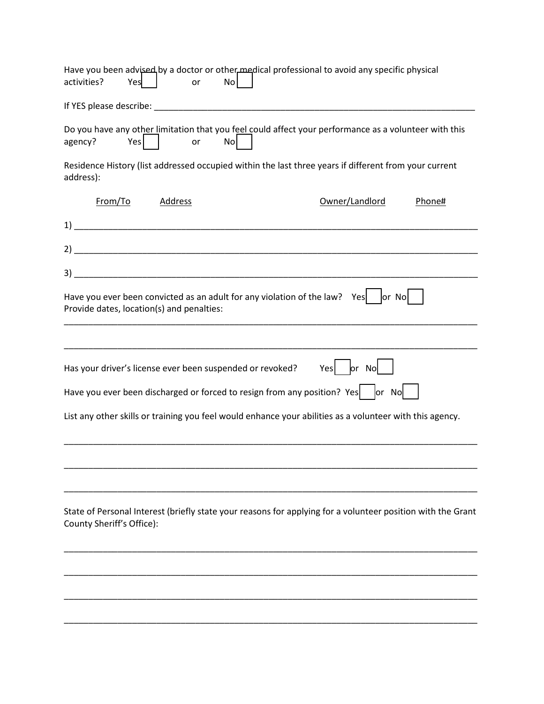| Have you been advised by a doctor or other medical professional to avoid any specific physical<br>activities?<br>Yes                     | No<br>or |                |        |
|------------------------------------------------------------------------------------------------------------------------------------------|----------|----------------|--------|
|                                                                                                                                          |          |                |        |
| Do you have any other limitation that you feel could affect your performance as a volunteer with this<br>Yes<br>agency?                  | No<br>or |                |        |
| Residence History (list addressed occupied within the last three years if different from your current<br>address):                       |          |                |        |
| From/To                                                                                                                                  | Address  | Owner/Landlord | Phone# |
|                                                                                                                                          |          |                |        |
|                                                                                                                                          |          |                |        |
|                                                                                                                                          |          |                |        |
| Have you ever been convicted as an adult for any violation of the law? Yes $ $ or No<br>Provide dates, location(s) and penalties:        |          |                |        |
|                                                                                                                                          |          |                |        |
| Has your driver's license ever been suspended or revoked?                                                                                |          | Yes   or No    |        |
| Have you ever been discharged or forced to resign from any position? Yes $ $ or No                                                       |          |                |        |
| List any other skills or training you feel would enhance your abilities as a volunteer with this agency.                                 |          |                |        |
|                                                                                                                                          |          |                |        |
| State of Personal Interest (briefly state your reasons for applying for a volunteer position with the Grant<br>County Sheriff's Office): |          |                |        |
|                                                                                                                                          |          |                |        |
|                                                                                                                                          |          |                |        |
|                                                                                                                                          |          |                |        |
|                                                                                                                                          |          |                |        |